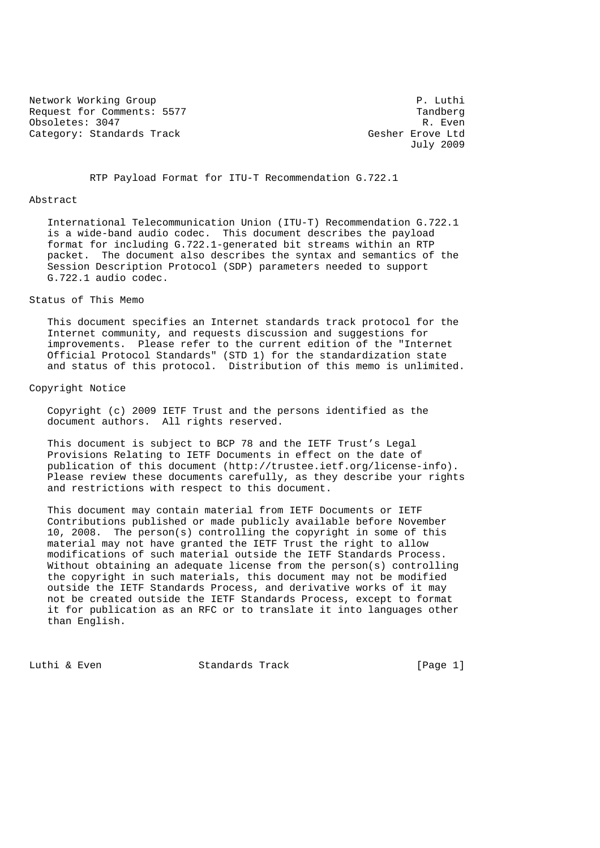Network Working Group **P. Luthing P. Luthing Communist** P. Luthing P. Luthing P. Luthing P. Luthing P. Luthing P. Luthing P. Luthing P. Luthing P. Luthing P. Luthing P. Luthing P. Luthing P. Luthing P. Luthing P. Luthing P Request for Comments: 5577 Tandberg Comments: 5577 Tandberg Comments: 5577 Tandberg Comments: 2017 Obsoletes: 3047 Category: Standards Track Gesher Erove Ltd

July 2009

RTP Payload Format for ITU-T Recommendation G.722.1

### Abstract

 International Telecommunication Union (ITU-T) Recommendation G.722.1 is a wide-band audio codec. This document describes the payload format for including G.722.1-generated bit streams within an RTP packet. The document also describes the syntax and semantics of the Session Description Protocol (SDP) parameters needed to support G.722.1 audio codec.

### Status of This Memo

 This document specifies an Internet standards track protocol for the Internet community, and requests discussion and suggestions for improvements. Please refer to the current edition of the "Internet Official Protocol Standards" (STD 1) for the standardization state and status of this protocol. Distribution of this memo is unlimited.

# Copyright Notice

 Copyright (c) 2009 IETF Trust and the persons identified as the document authors. All rights reserved.

 This document is subject to BCP 78 and the IETF Trust's Legal Provisions Relating to IETF Documents in effect on the date of publication of this document (http://trustee.ietf.org/license-info). Please review these documents carefully, as they describe your rights and restrictions with respect to this document.

 This document may contain material from IETF Documents or IETF Contributions published or made publicly available before November 10, 2008. The person(s) controlling the copyright in some of this material may not have granted the IETF Trust the right to allow modifications of such material outside the IETF Standards Process. Without obtaining an adequate license from the person(s) controlling the copyright in such materials, this document may not be modified outside the IETF Standards Process, and derivative works of it may not be created outside the IETF Standards Process, except to format it for publication as an RFC or to translate it into languages other than English.

Luthi & Even Standards Track [Page 1]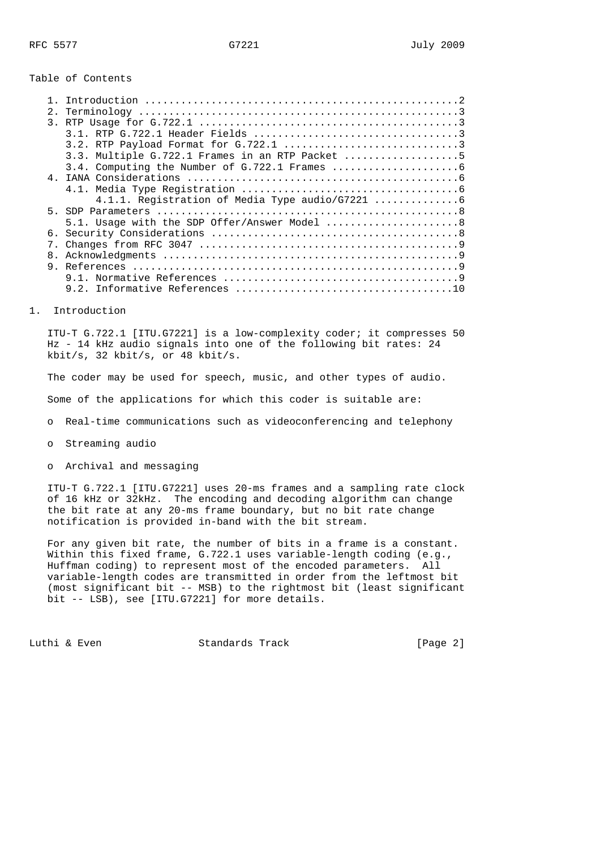## Table of Contents

| 2. |                                                 |
|----|-------------------------------------------------|
|    |                                                 |
|    |                                                 |
|    |                                                 |
|    | 3.3. Multiple G.722.1 Frames in an RTP Packet 5 |
|    |                                                 |
|    |                                                 |
|    |                                                 |
|    |                                                 |
|    |                                                 |
|    | 5.1. Usage with the SDP Offer/Answer Model  8   |
|    |                                                 |
|    |                                                 |
|    |                                                 |
|    |                                                 |
|    |                                                 |
|    |                                                 |

1. Introduction

 ITU-T G.722.1 [ITU.G7221] is a low-complexity coder; it compresses 50 Hz - 14 kHz audio signals into one of the following bit rates: 24 kbit/s, 32 kbit/s, or 48 kbit/s.

The coder may be used for speech, music, and other types of audio.

Some of the applications for which this coder is suitable are:

- o Real-time communications such as videoconferencing and telephony
- o Streaming audio
- o Archival and messaging

 ITU-T G.722.1 [ITU.G7221] uses 20-ms frames and a sampling rate clock of 16 kHz or 32kHz. The encoding and decoding algorithm can change the bit rate at any 20-ms frame boundary, but no bit rate change notification is provided in-band with the bit stream.

 For any given bit rate, the number of bits in a frame is a constant. Within this fixed frame, G.722.1 uses variable-length coding (e.g., Huffman coding) to represent most of the encoded parameters. All variable-length codes are transmitted in order from the leftmost bit (most significant bit -- MSB) to the rightmost bit (least significant bit -- LSB), see [ITU.G7221] for more details.

Luthi & Even Standards Track [Page 2]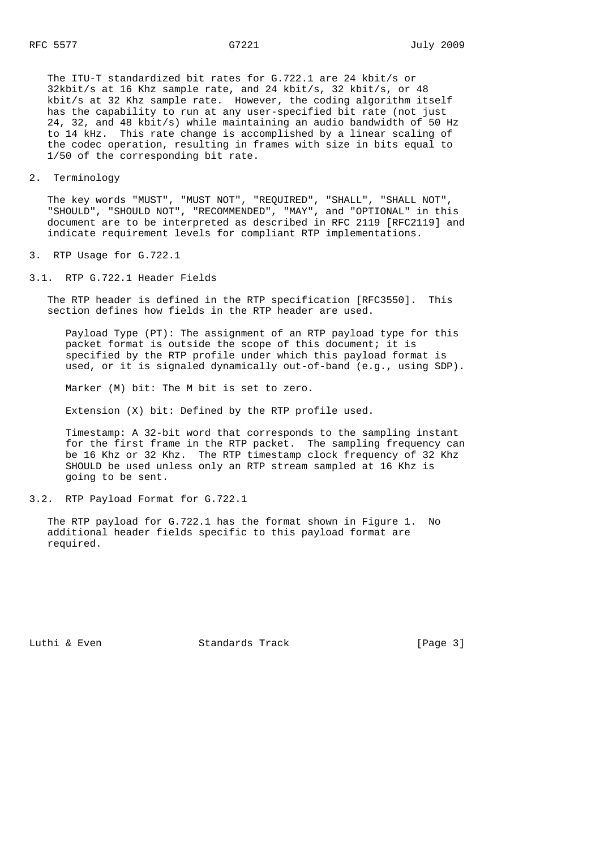The ITU-T standardized bit rates for G.722.1 are 24 kbit/s or 32kbit/s at 16 Khz sample rate, and 24 kbit/s, 32 kbit/s, or 48 kbit/s at 32 Khz sample rate. However, the coding algorithm itself has the capability to run at any user-specified bit rate (not just 24, 32, and 48 kbit/s) while maintaining an audio bandwidth of 50 Hz to 14 kHz. This rate change is accomplished by a linear scaling of the codec operation, resulting in frames with size in bits equal to 1/50 of the corresponding bit rate.

2. Terminology

 The key words "MUST", "MUST NOT", "REQUIRED", "SHALL", "SHALL NOT", "SHOULD", "SHOULD NOT", "RECOMMENDED", "MAY", and "OPTIONAL" in this document are to be interpreted as described in RFC 2119 [RFC2119] and indicate requirement levels for compliant RTP implementations.

- 3. RTP Usage for G.722.1
- 3.1. RTP G.722.1 Header Fields

 The RTP header is defined in the RTP specification [RFC3550]. This section defines how fields in the RTP header are used.

 Payload Type (PT): The assignment of an RTP payload type for this packet format is outside the scope of this document; it is specified by the RTP profile under which this payload format is used, or it is signaled dynamically out-of-band (e.g., using SDP).

Marker (M) bit: The M bit is set to zero.

Extension (X) bit: Defined by the RTP profile used.

 Timestamp: A 32-bit word that corresponds to the sampling instant for the first frame in the RTP packet. The sampling frequency can be 16 Khz or 32 Khz. The RTP timestamp clock frequency of 32 Khz SHOULD be used unless only an RTP stream sampled at 16 Khz is going to be sent.

 The RTP payload for G.722.1 has the format shown in Figure 1. No additional header fields specific to this payload format are required.

Luthi & Even Standards Track [Page 3]

<sup>3.2.</sup> RTP Payload Format for G.722.1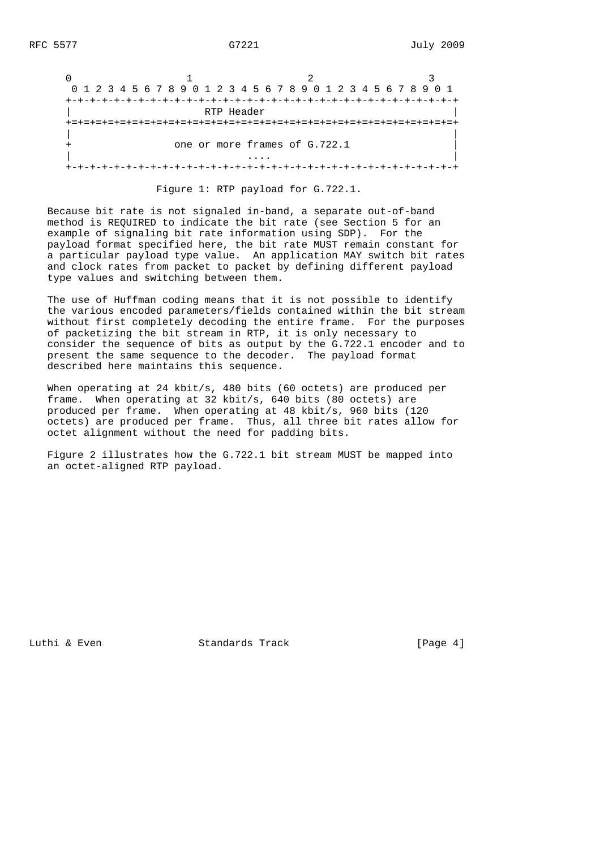|            | 0 1 2 3 4 5 6 7 8 9 0 1 2 3 4 5 6 7 8 9 0 1 2 3 4 5 6 7 8 9 0 1 |  |
|------------|-----------------------------------------------------------------|--|
|            |                                                                 |  |
| RTP Header |                                                                 |  |
|            |                                                                 |  |
|            | one or more frames of G.722.1                                   |  |
|            |                                                                 |  |
|            |                                                                 |  |

Figure 1: RTP payload for G.722.1.

 Because bit rate is not signaled in-band, a separate out-of-band method is REQUIRED to indicate the bit rate (see Section 5 for an example of signaling bit rate information using SDP). For the payload format specified here, the bit rate MUST remain constant for a particular payload type value. An application MAY switch bit rates and clock rates from packet to packet by defining different payload type values and switching between them.

 The use of Huffman coding means that it is not possible to identify the various encoded parameters/fields contained within the bit stream without first completely decoding the entire frame. For the purposes of packetizing the bit stream in RTP, it is only necessary to consider the sequence of bits as output by the G.722.1 encoder and to present the same sequence to the decoder. The payload format described here maintains this sequence.

 When operating at 24 kbit/s, 480 bits (60 octets) are produced per frame. When operating at 32 kbit/s, 640 bits (80 octets) are produced per frame. When operating at 48 kbit/s, 960 bits (120 octets) are produced per frame. Thus, all three bit rates allow for octet alignment without the need for padding bits.

 Figure 2 illustrates how the G.722.1 bit stream MUST be mapped into an octet-aligned RTP payload.

Luthi & Even Standards Track [Page 4]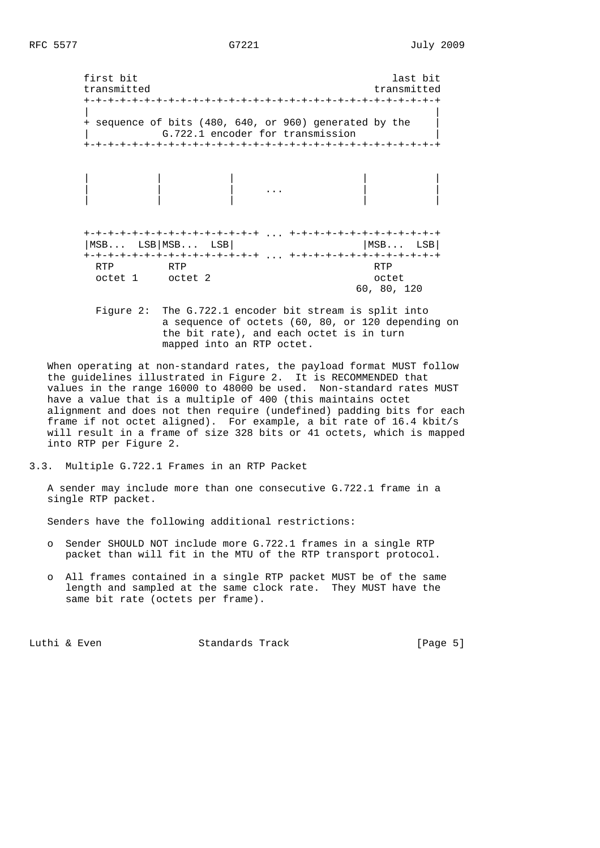first bit last bit transmitted transmitted +-+-+-+-+-+-+-+-+-+-+-+-+-+-+-+-+-+-+-+-+-+-+-+-+-+-+-+-+-+ | | + sequence of bits (480, 640, or 960) generated by the | G.722.1 encoder for transmission +-+-+-+-+-+-+-+-+-+-+-+-+-+-+-+-+-+-+-+-+-+-+-+-+-+-+-+-+-+ | | | | | | | | ... | | | | | | | +-+-+-+-+-+-+-+-+-+-+-+-+-+-+ ... +-+-+-+-+-+-+-+-+-+-+-+-+ |MSB... LSB|MSB... LSB| | |MSB... LSB| +-+-+-+-+-+-+-+-+-+-+-+-+-+-+ ... +-+-+-+-+-+-+-+-+-+-+-+-+ RTP RTP RTP RTP RTP octet 1 octet 2 octet 60, 80, 120

> Figure 2: The G.722.1 encoder bit stream is split into a sequence of octets (60, 80, or 120 depending on the bit rate), and each octet is in turn mapped into an RTP octet.

 When operating at non-standard rates, the payload format MUST follow the guidelines illustrated in Figure 2. It is RECOMMENDED that values in the range 16000 to 48000 be used. Non-standard rates MUST have a value that is a multiple of 400 (this maintains octet alignment and does not then require (undefined) padding bits for each frame if not octet aligned). For example, a bit rate of 16.4 kbit/s will result in a frame of size 328 bits or 41 octets, which is mapped into RTP per Figure 2.

3.3. Multiple G.722.1 Frames in an RTP Packet

 A sender may include more than one consecutive G.722.1 frame in a single RTP packet.

Senders have the following additional restrictions:

- o Sender SHOULD NOT include more G.722.1 frames in a single RTP packet than will fit in the MTU of the RTP transport protocol.
- o All frames contained in a single RTP packet MUST be of the same length and sampled at the same clock rate. They MUST have the same bit rate (octets per frame).

Luthi & Even Standards Track [Page 5]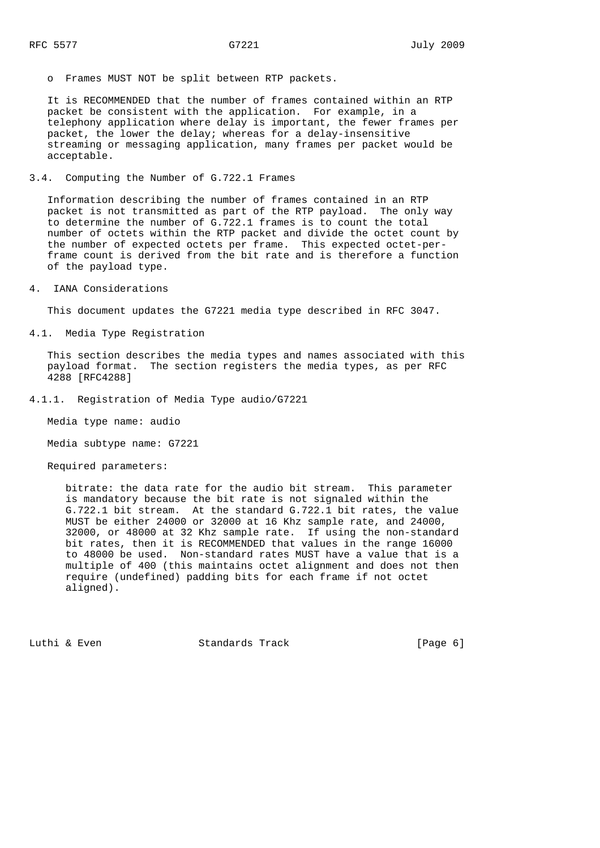o Frames MUST NOT be split between RTP packets.

 It is RECOMMENDED that the number of frames contained within an RTP packet be consistent with the application. For example, in a telephony application where delay is important, the fewer frames per packet, the lower the delay; whereas for a delay-insensitive streaming or messaging application, many frames per packet would be acceptable.

3.4. Computing the Number of G.722.1 Frames

 Information describing the number of frames contained in an RTP packet is not transmitted as part of the RTP payload. The only way to determine the number of G.722.1 frames is to count the total number of octets within the RTP packet and divide the octet count by the number of expected octets per frame. This expected octet-per frame count is derived from the bit rate and is therefore a function of the payload type.

4. IANA Considerations

This document updates the G7221 media type described in RFC 3047.

4.1. Media Type Registration

 This section describes the media types and names associated with this payload format. The section registers the media types, as per RFC 4288 [RFC4288]

4.1.1. Registration of Media Type audio/G7221

Media type name: audio

Media subtype name: G7221

Required parameters:

 bitrate: the data rate for the audio bit stream. This parameter is mandatory because the bit rate is not signaled within the G.722.1 bit stream. At the standard G.722.1 bit rates, the value MUST be either 24000 or 32000 at 16 Khz sample rate, and 24000, 32000, or 48000 at 32 Khz sample rate. If using the non-standard bit rates, then it is RECOMMENDED that values in the range 16000 to 48000 be used. Non-standard rates MUST have a value that is a multiple of 400 (this maintains octet alignment and does not then require (undefined) padding bits for each frame if not octet aligned).

Luthi & Even Standards Track [Page 6]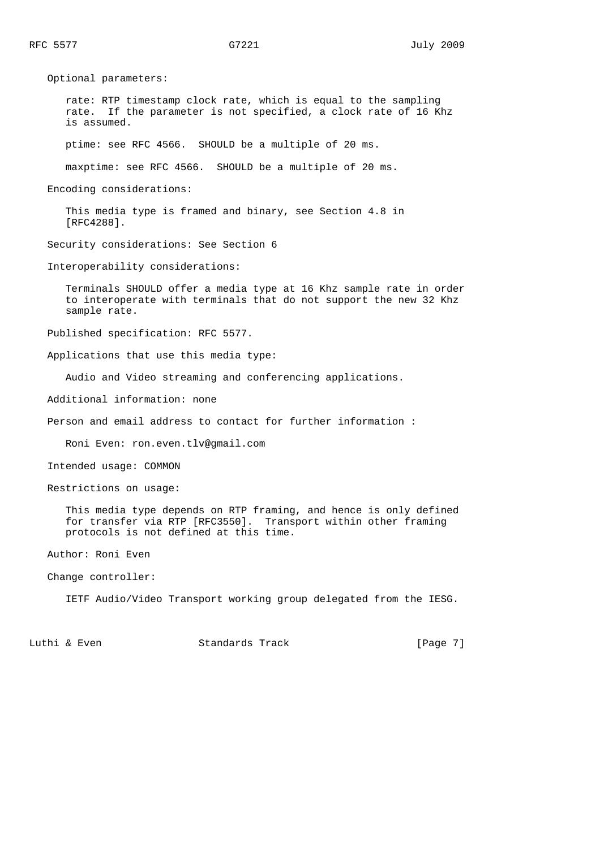Optional parameters: rate: RTP timestamp clock rate, which is equal to the sampling rate. If the parameter is not specified, a clock rate of 16 Khz is assumed. ptime: see RFC 4566. SHOULD be a multiple of 20 ms. maxptime: see RFC 4566. SHOULD be a multiple of 20 ms. Encoding considerations: This media type is framed and binary, see Section 4.8 in [RFC4288]. Security considerations: See Section 6 Interoperability considerations: Terminals SHOULD offer a media type at 16 Khz sample rate in order to interoperate with terminals that do not support the new 32 Khz sample rate. Published specification: RFC 5577. Applications that use this media type: Audio and Video streaming and conferencing applications. Additional information: none Person and email address to contact for further information : Roni Even: ron.even.tlv@gmail.com Intended usage: COMMON Restrictions on usage: This media type depends on RTP framing, and hence is only defined for transfer via RTP [RFC3550]. Transport within other framing protocols is not defined at this time. Author: Roni Even Change controller: IETF Audio/Video Transport working group delegated from the IESG.

Luthi & Even Standards Track [Page 7]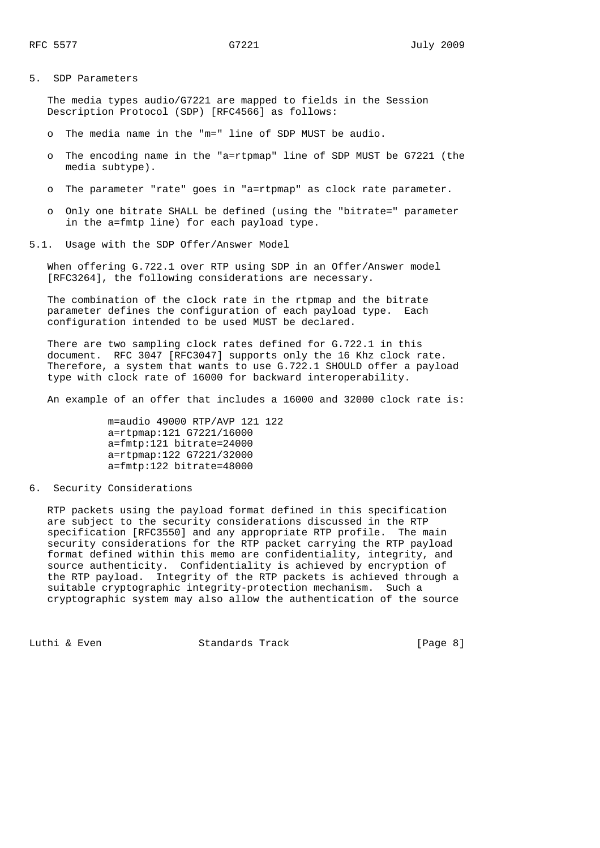## 5. SDP Parameters

 The media types audio/G7221 are mapped to fields in the Session Description Protocol (SDP) [RFC4566] as follows:

- o The media name in the "m=" line of SDP MUST be audio.
- o The encoding name in the "a=rtpmap" line of SDP MUST be G7221 (the media subtype).
- The parameter "rate" goes in "a=rtpmap" as clock rate parameter.
- o Only one bitrate SHALL be defined (using the "bitrate=" parameter in the a=fmtp line) for each payload type.
- 5.1. Usage with the SDP Offer/Answer Model

 When offering G.722.1 over RTP using SDP in an Offer/Answer model [RFC3264], the following considerations are necessary.

 The combination of the clock rate in the rtpmap and the bitrate parameter defines the configuration of each payload type. Each configuration intended to be used MUST be declared.

 There are two sampling clock rates defined for G.722.1 in this document. RFC 3047 [RFC3047] supports only the 16 Khz clock rate. Therefore, a system that wants to use G.722.1 SHOULD offer a payload type with clock rate of 16000 for backward interoperability.

An example of an offer that includes a 16000 and 32000 clock rate is:

 m=audio 49000 RTP/AVP 121 122 a=rtpmap:121 G7221/16000 a=fmtp:121 bitrate=24000 a=rtpmap:122 G7221/32000 a=fmtp:122 bitrate=48000

6. Security Considerations

 RTP packets using the payload format defined in this specification are subject to the security considerations discussed in the RTP specification [RFC3550] and any appropriate RTP profile. The main security considerations for the RTP packet carrying the RTP payload format defined within this memo are confidentiality, integrity, and source authenticity. Confidentiality is achieved by encryption of the RTP payload. Integrity of the RTP packets is achieved through a suitable cryptographic integrity-protection mechanism. Such a cryptographic system may also allow the authentication of the source

Luthi & Even Standards Track [Page 8]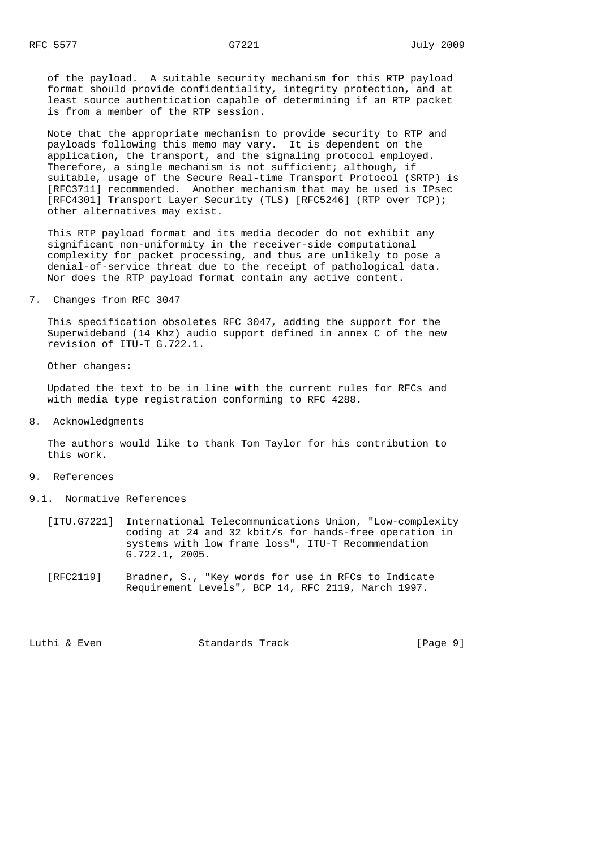of the payload. A suitable security mechanism for this RTP payload format should provide confidentiality, integrity protection, and at least source authentication capable of determining if an RTP packet is from a member of the RTP session.

 Note that the appropriate mechanism to provide security to RTP and payloads following this memo may vary. It is dependent on the application, the transport, and the signaling protocol employed. Therefore, a single mechanism is not sufficient; although, if suitable, usage of the Secure Real-time Transport Protocol (SRTP) is [RFC3711] recommended. Another mechanism that may be used is IPsec [RFC4301] Transport Layer Security (TLS) [RFC5246] (RTP over TCP); other alternatives may exist.

 This RTP payload format and its media decoder do not exhibit any significant non-uniformity in the receiver-side computational complexity for packet processing, and thus are unlikely to pose a denial-of-service threat due to the receipt of pathological data. Nor does the RTP payload format contain any active content.

### 7. Changes from RFC 3047

 This specification obsoletes RFC 3047, adding the support for the Superwideband (14 Khz) audio support defined in annex C of the new revision of ITU-T G.722.1.

Other changes:

 Updated the text to be in line with the current rules for RFCs and with media type registration conforming to RFC 4288.

8. Acknowledgments

 The authors would like to thank Tom Taylor for his contribution to this work.

- 9. References
- 9.1. Normative References
	- [ITU.G7221] International Telecommunications Union, "Low-complexity coding at 24 and 32 kbit/s for hands-free operation in systems with low frame loss", ITU-T Recommendation G.722.1, 2005.
	- [RFC2119] Bradner, S., "Key words for use in RFCs to Indicate Requirement Levels", BCP 14, RFC 2119, March 1997.

Luthi & Even Standards Track [Page 9]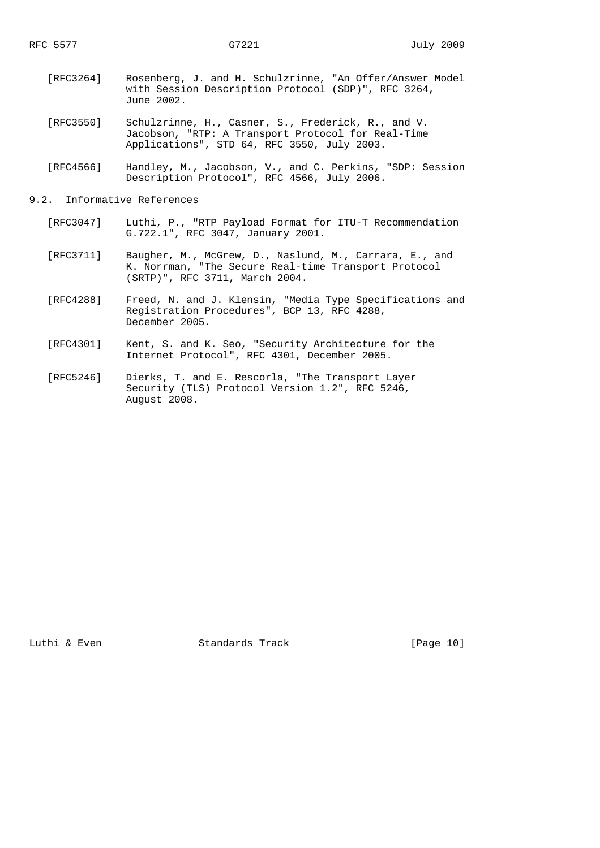- [RFC3264] Rosenberg, J. and H. Schulzrinne, "An Offer/Answer Model with Session Description Protocol (SDP)", RFC 3264, June 2002.
- [RFC3550] Schulzrinne, H., Casner, S., Frederick, R., and V. Jacobson, "RTP: A Transport Protocol for Real-Time Applications", STD 64, RFC 3550, July 2003.
- [RFC4566] Handley, M., Jacobson, V., and C. Perkins, "SDP: Session Description Protocol", RFC 4566, July 2006.

# 9.2. Informative References

- [RFC3047] Luthi, P., "RTP Payload Format for ITU-T Recommendation G.722.1", RFC 3047, January 2001.
- [RFC3711] Baugher, M., McGrew, D., Naslund, M., Carrara, E., and K. Norrman, "The Secure Real-time Transport Protocol (SRTP)", RFC 3711, March 2004.
- [RFC4288] Freed, N. and J. Klensin, "Media Type Specifications and Registration Procedures", BCP 13, RFC 4288, December 2005.
	- [RFC4301] Kent, S. and K. Seo, "Security Architecture for the Internet Protocol", RFC 4301, December 2005.
	- [RFC5246] Dierks, T. and E. Rescorla, "The Transport Layer Security (TLS) Protocol Version 1.2", RFC 5246, August 2008.

Luthi & Even Standards Track [Page 10]